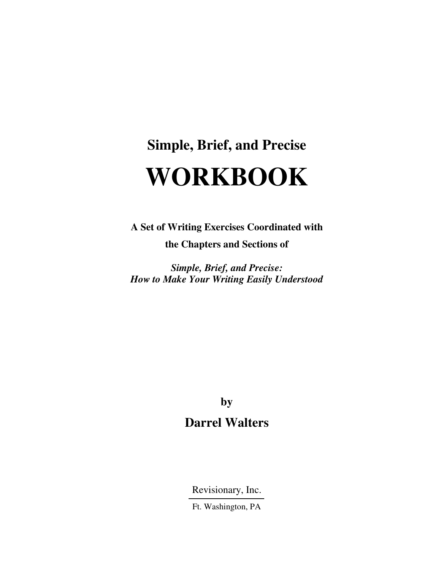# **Simple, Brief, and Precise WORKBOOK**

**A Set of Writing Exercises Coordinated with** 

**the Chapters and Sections of** 

*Simple, Brief, and Precise: How to Make Your Writing Easily Understood* 

> **by Darrel Walters**

Revisionary, Inc.

Ft. Washington, PA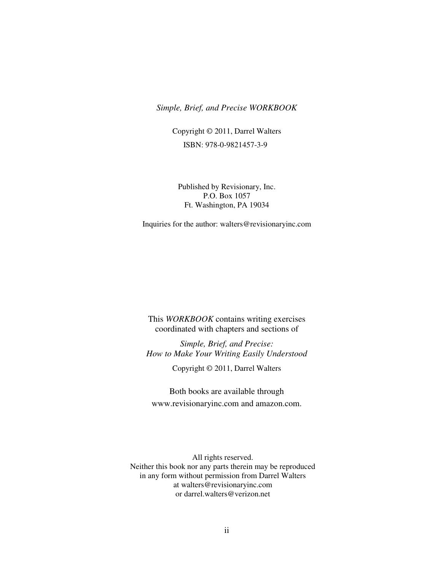#### *Simple, Brief, and Precise WORKBOOK*

Copyright © 2011, Darrel Walters ISBN: 978-0-9821457-3-9

Published by Revisionary, Inc. P.O. Box 1057 Ft. Washington, PA 19034

Inquiries for the author: walters@revisionaryinc.com

This *WORKBOOK* contains writing exercises coordinated with chapters and sections of

*Simple, Brief, and Precise: How to Make Your Writing Easily Understood* 

Copyright © 2011, Darrel Walters

Both books are available through www.revisionaryinc.com and amazon.com.

All rights reserved. Neither this book nor any parts therein may be reproduced in any form without permission from Darrel Walters at walters@revisionaryinc.com or darrel.walters@verizon.net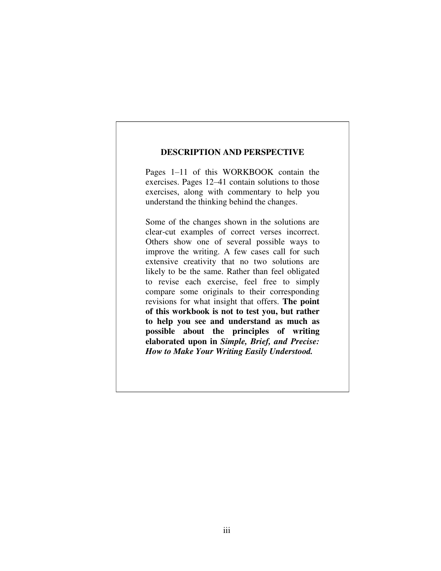#### **DESCRIPTION AND PERSPECTIVE**

Pages 1–11 of this WORKBOOK contain the exercises. Pages 12–41 contain solutions to those exercises, along with commentary to help you understand the thinking behind the changes.

Some of the changes shown in the solutions are clear-cut examples of correct verses incorrect. Others show one of several possible ways to improve the writing. A few cases call for such extensive creativity that no two solutions are likely to be the same. Rather than feel obligated to revise each exercise, feel free to simply compare some originals to their corresponding revisions for what insight that offers. **The point of this workbook is not to test you, but rather to help you see and understand as much as possible about the principles of writing elaborated upon in** *Simple, Brief, and Precise: How to Make Your Writing Easily Understood.*